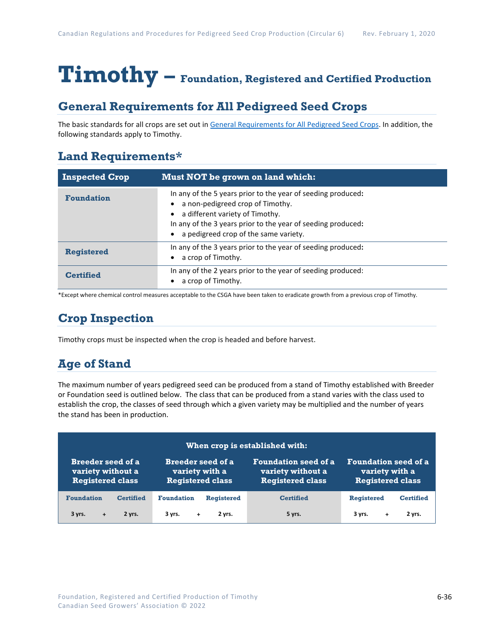# **Timothy – Foundation, Registered and Certified Production**

## **General Requirements for All Pedigreed Seed Crops**

The basic standards for all crops are set out i[n General Requirements for All Pedigreed Seed](https://seedgrowers.ca/wp-content/uploads/2020/01/GENERAL-REQUIREMENTS-ALL-CROPS_EN.pdf) Crops. In addition, the following standards apply to Timothy.

### **Land Requirements\***

| <b>Inspected Crop</b> | Must NOT be grown on land which:                                                                                                                                                                                                             |
|-----------------------|----------------------------------------------------------------------------------------------------------------------------------------------------------------------------------------------------------------------------------------------|
| <b>Foundation</b>     | In any of the 5 years prior to the year of seeding produced:<br>a non-pedigreed crop of Timothy.<br>a different variety of Timothy.<br>In any of the 3 years prior to the year of seeding produced:<br>a pedigreed crop of the same variety. |
| <b>Registered</b>     | In any of the 3 years prior to the year of seeding produced:<br>a crop of Timothy.                                                                                                                                                           |
| <b>Certified</b>      | In any of the 2 years prior to the year of seeding produced:<br>a crop of Timothy.                                                                                                                                                           |

\*Except where chemical control measures acceptable to the CSGA have been taken to eradicate growth from a previous crop of Timothy.

# **Crop Inspection**

Timothy crops must be inspected when the crop is headed and before harvest.

## **Age of Stand**

The maximum number of years pedigreed seed can be produced from a stand of Timothy established with Breeder or Foundation seed is outlined below. The class that can be produced from a stand varies with the class used to establish the crop, the classes of seed through which a given variety may be multiplied and the number of years the stand has been in production.

| When crop is established with:                                           |                  |                                                                       |                   |                                                                             |                                                                          |                  |
|--------------------------------------------------------------------------|------------------|-----------------------------------------------------------------------|-------------------|-----------------------------------------------------------------------------|--------------------------------------------------------------------------|------------------|
| <b>Breeder seed of a</b><br>variety without a<br><b>Registered class</b> |                  | <b>Breeder seed of a</b><br>variety with a<br><b>Registered class</b> |                   | <b>Foundation seed of a</b><br>variety without a<br><b>Registered class</b> | <b>Foundation seed of a</b><br>variety with a<br><b>Registered class</b> |                  |
| <b>Foundation</b>                                                        | <b>Certified</b> | <b>Foundation</b>                                                     | <b>Registered</b> | <b>Certified</b>                                                            | <b>Registered</b>                                                        | <b>Certified</b> |
| 3 yrs.<br>$+$                                                            | 2 yrs.           | 3 yrs.<br>$+$                                                         | 2 yrs.            | 5 yrs.                                                                      | 3 yrs.<br>÷.                                                             | 2 yrs.           |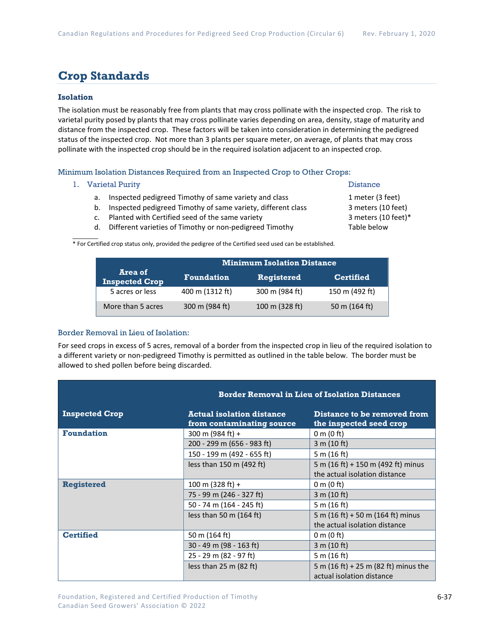## **Crop Standards**

#### **Isolation**

The isolation must be reasonably free from plants that may cross pollinate with the inspected crop. The risk to varietal purity posed by plants that may cross pollinate varies depending on area, density, stage of maturity and distance from the inspected crop. These factors will be taken into consideration in determining the pedigreed status of the inspected crop. Not more than 3 plants per square meter, on average, of plants that may cross pollinate with the inspected crop should be in the required isolation adjacent to an inspected crop.

Minimum Isolation Distances Required from an Inspected Crop to Other Crops:

#### 1. Varietal Purity **Distance**

- a. Inspected pedigreed Timothy of same variety and class 1 meter (3 feet)
- b. Inspected pedigreed Timothy of same variety, different class 3 meters (10 feet)
- c. Planted with Certified seed of the same variety 3 meters (10 feet)\*
- d. Different varieties of Timothy or non-pedigreed Timothy Table below

 $\mathcal{L}$ \* For Certified crop status only, provided the pedigree of the Certified seed used can be established.

|                                  | <b>Minimum Isolation Distance</b> |                |                  |  |  |
|----------------------------------|-----------------------------------|----------------|------------------|--|--|
| Area of<br><b>Inspected Crop</b> | <b>Foundation</b>                 | Registered     | <b>Certified</b> |  |  |
| 5 acres or less                  | 400 m (1312 ft)                   | 300 m (984 ft) | 150 m (492 ft)   |  |  |
| More than 5 acres                | 300 m (984 ft)                    | 100 m (328 ft) | 50 m (164 ft)    |  |  |

#### Border Removal in Lieu of Isolation:

For seed crops in excess of 5 acres, removal of a border from the inspected crop in lieu of the required isolation to a different variety or non-pedigreed Timothy is permitted as outlined in the table below. The border must be allowed to shed pollen before being discarded.

|                       | <b>Border Removal in Lieu of Isolation Distances</b>          |                                                                    |  |  |
|-----------------------|---------------------------------------------------------------|--------------------------------------------------------------------|--|--|
| <b>Inspected Crop</b> | <b>Actual isolation distance</b><br>from contaminating source | Distance to be removed from<br>the inspected seed crop             |  |  |
| <b>Foundation</b>     | 300 m (984 ft) +                                              | 0 m $(0 \text{ ft})$                                               |  |  |
|                       | 200 - 299 m (656 - 983 ft)                                    | 3 m (10 ft)                                                        |  |  |
|                       | 150 - 199 m (492 - 655 ft)                                    | 5 m (16 ft)                                                        |  |  |
|                       | less than $150$ m (492 ft)                                    | 5 m (16 ft) + 150 m (492 ft) minus                                 |  |  |
|                       |                                                               | the actual isolation distance                                      |  |  |
| <b>Registered</b>     | 100 m (328 ft) +                                              | 0 m $(0 \text{ ft})$                                               |  |  |
|                       | 75 - 99 m (246 - 327 ft)                                      | 3 m (10 ft)                                                        |  |  |
|                       | 50 - 74 m (164 - 245 ft)                                      | 5 m (16 ft)                                                        |  |  |
|                       | less than 50 m $(164 ft)$                                     | 5 m (16 ft) + 50 m (164 ft) minus<br>the actual isolation distance |  |  |
| <b>Certified</b>      | 50 m (164 ft)                                                 | 0 m $(0 \text{ ft})$                                               |  |  |
|                       | 30 - 49 m (98 - 163 ft)                                       | 3 m (10 ft)                                                        |  |  |
|                       | 25 - 29 m (82 - 97 ft)                                        | 5 m (16 ft)                                                        |  |  |
|                       | less than $25 \text{ m}$ (82 ft)                              | 5 m (16 ft) + 25 m (82 ft) minus the<br>actual isolation distance  |  |  |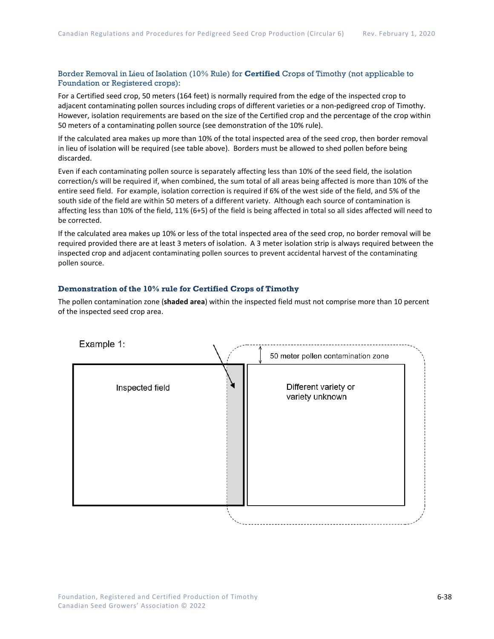#### Border Removal in Lieu of Isolation (10% Rule) for **Certified** Crops of Timothy (not applicable to Foundation or Registered crops):

For a Certified seed crop, 50 meters (164 feet) is normally required from the edge of the inspected crop to adjacent contaminating pollen sources including crops of different varieties or a non-pedigreed crop of Timothy. However, isolation requirements are based on the size of the Certified crop and the percentage of the crop within 50 meters of a contaminating pollen source (see demonstration of the 10% rule).

If the calculated area makes up more than 10% of the total inspected area of the seed crop, then border removal in lieu of isolation will be required (see table above). Borders must be allowed to shed pollen before being discarded.

Even if each contaminating pollen source is separately affecting less than 10% of the seed field, the isolation correction/s will be required if, when combined, the sum total of all areas being affected is more than 10% of the entire seed field. For example, isolation correction is required if 6% of the west side of the field, and 5% of the south side of the field are within 50 meters of a different variety. Although each source of contamination is affecting less than 10% of the field, 11% (6+5) of the field is being affected in total so all sides affected will need to be corrected.

If the calculated area makes up 10% or less of the total inspected area of the seed crop, no border removal will be required provided there are at least 3 meters of isolation. A 3 meter isolation strip is always required between the inspected crop and adjacent contaminating pollen sources to prevent accidental harvest of the contaminating pollen source.

#### **Demonstration of the 10% rule for Certified Crops of Timothy**

The pollen contamination zone (**shaded area**) within the inspected field must not comprise more than 10 percent of the inspected seed crop area.